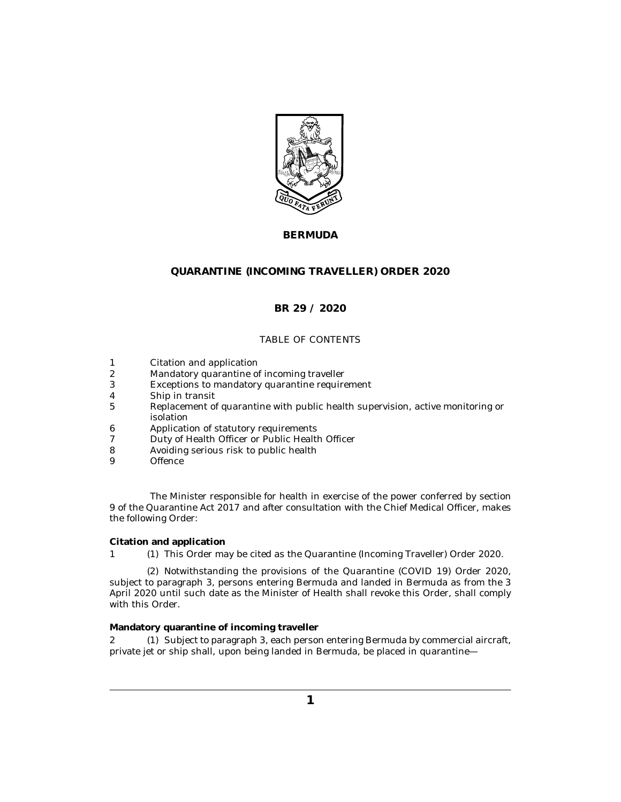

# **BERMUDA**

# **QUARANTINE (INCOMING TRAVELLER) ORDER 2020**

## **BR 29 / 2020**

## TABLE OF CONTENTS

- Citation and application 1
- Mandatory quarantine of incoming traveller 2
- [Exceptions to mandatory quarantine requirement](#page-1-0) 3
- [Ship in transit](#page-1-0) 4
- [Replacement of quarantine with public health supervision, active monitoring or](#page-2-0) isolation 5
- [Application of statutory requirements](#page-2-0) 6
- [Duty of Health Officer or Public Health Officer](#page-2-0) 7
- [Avoiding serious risk to public health](#page-2-0) 8
- **[Offence](#page-2-0)** 9

The Minister responsible for health in exercise of the power conferred by section 9 of the Quarantine Act 2017 and after consultation with the Chief Medical Officer, makes the following Order:

### **Citation and application**

1 (1) This Order may be cited as the Quarantine (Incoming Traveller) Order 2020.

(2) Notwithstanding the provisions of the Quarantine (COVID 19) Order 2020, subject to paragraph 3, persons entering Bermuda and landed in Bermuda as from the 3 April 2020 until such date as the Minister of Health shall revoke this Order, shall comply with this Order.

### **Mandatory quarantine of incoming traveller**

2 (1) Subject to paragraph 3, each person entering Bermuda by commercial aircraft, private jet or ship shall, upon being landed in Bermuda, be placed in quarantine—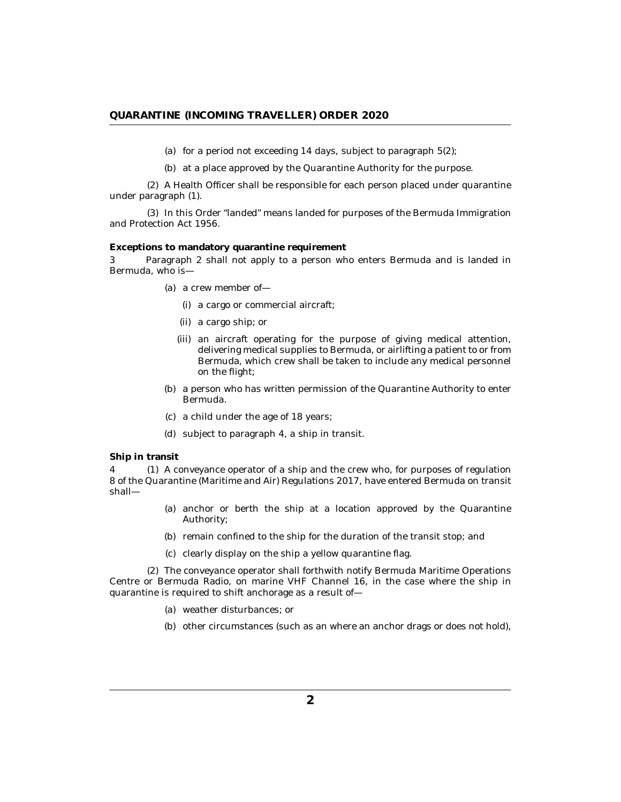- (a) for a period not exceeding  $14$  days, subject to paragraph  $5(2)$ ;
- (b) at a place approved by the Quarantine Authority for the purpose.

<span id="page-1-0"></span>A Health Officer shall be responsible for each person placed under quarantine (2) under paragraph (1).

(3) In this Order "landed" means landed for purposes of the Bermuda Immigration and Protection Act 1956.

**Exceptions to mandatory quarantine requirement**

Paragraph 2 shall not apply to a person who enters Bermuda and is landed in Bermuda, who is— 3

- (a) a crew member of
	- a cargo or commercial aircraft; (i)
	- (ii) a cargo ship; or
	- an aircraft operating for the purpose of giving medical attention, (iii) delivering medical supplies to Bermuda, or airlifting a patient to or from Bermuda, which crew shall be taken to include any medical personnel on the flight;
- (b) a person who has written permission of the Quarantine Authority to enter Bermuda.
- a child under the age of 18 years; (c)
- (d) subject to paragraph 4, a ship in transit.

### **Ship in transit**

A conveyance operator of a ship and the crew who, for purposes of regulation 4 (1) 8 of the Quarantine (Maritime and Air) Regulations 2017, have entered Bermuda on transit shall—

- (a) anchor or berth the ship at a location approved by the Quarantine Authority;
- (b) remain confined to the ship for the duration of the transit stop; and
- (c) clearly display on the ship a yellow quarantine flag.

The conveyance operator shall forthwith notify Bermuda Maritime Operations (2) Centre or Bermuda Radio, on marine VHF Channel 16, in the case where the ship in quarantine is required to shift anchorage as a result of—

- weather disturbances; or (a)
- (b) other circumstances (such as an where an anchor drags or does not hold),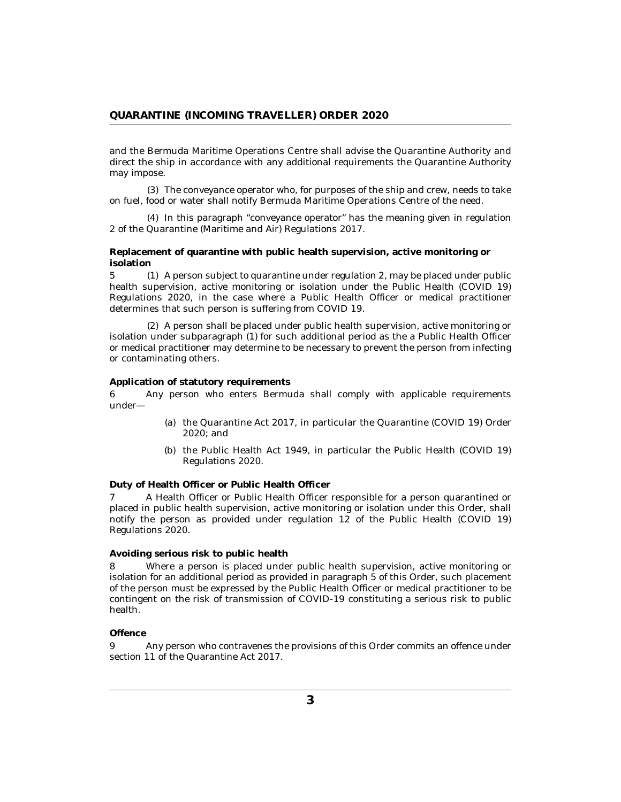<span id="page-2-0"></span>and the Bermuda Maritime Operations Centre shall advise the Quarantine Authority and direct the ship in accordance with any additional requirements the Quarantine Authority may impose.

The conveyance operator who, for purposes of the ship and crew, needs to take (3) on fuel, food or water shall notify Bermuda Maritime Operations Centre of the need.

(4) In this paragraph "conveyance operator" has the meaning given in regulation 2 of the Quarantine (Maritime and Air) Regulations 2017.

**Replacement of quarantine with public health supervision, active monitoring or isolation**

5 (1) A person subject to quarantine under regulation 2, may be placed under public health supervision, active monitoring or isolation under the Public Health (COVID 19) Regulations 2020, in the case where a Public Health Officer or medical practitioner determines that such person is suffering from COVID 19.

A person shall be placed under public health supervision, active monitoring or (2) isolation under subparagraph (1) for such additional period as the a Public Health Officer or medical practitioner may determine to be necessary to prevent the person from infecting or contaminating others.

#### **Application of statutory requirements**

Any person who enters Bermuda shall comply with applicable requirements under— 6

- (a) the Quarantine Act 2017, in particular the Quarantine (COVID 19) Order 2020; and
- (b) the Public Health Act 1949, in particular the Public Health (COVID 19) Regulations 2020.

**Duty of Health Officer or Public Health Officer**

A Health Officer or Public Health Officer responsible for a person quarantined or placed in public health supervision, active monitoring or isolation under this Order, shall notify the person as provided under regulation  $12$  of the Public Health (COVID 19) Regulations 2020. 7

### **Avoiding serious risk to public health**

Where a person is placed under public health supervision, active monitoring or isolation for an additional period as provided in paragraph 5 of this Order, such placement of the person must be expressed by the Public Health Officer or medical practitioner to be contingent on the risk of transmission of COVID-19 constituting a serious risk to public health. 8

#### **Offence**

Any person who contravenes the provisions of this Order commits an offence under section 11 of the Quarantine Act 2017. 9